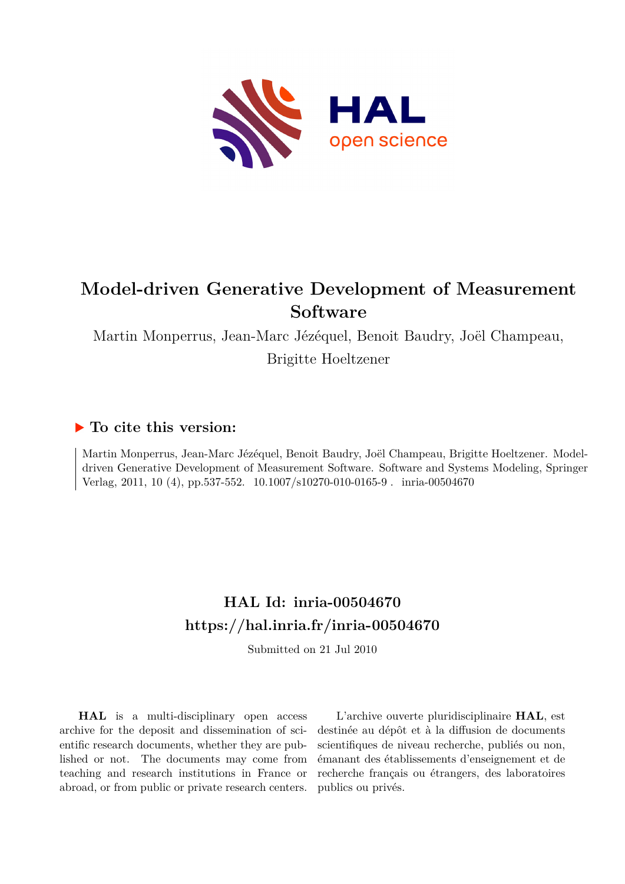

# **Model-driven Generative Development of Measurement Software**

Martin Monperrus, Jean-Marc Jézéquel, Benoit Baudry, Joël Champeau,

Brigitte Hoeltzener

# **To cite this version:**

Martin Monperrus, Jean-Marc Jézéquel, Benoit Baudry, Joël Champeau, Brigitte Hoeltzener. Modeldriven Generative Development of Measurement Software. Software and Systems Modeling, Springer Verlag, 2011, 10 (4), pp.537-552. 10.1007/s10270-010-0165-9 minia-00504670

# **HAL Id: inria-00504670 <https://hal.inria.fr/inria-00504670>**

Submitted on 21 Jul 2010

**HAL** is a multi-disciplinary open access archive for the deposit and dissemination of scientific research documents, whether they are published or not. The documents may come from teaching and research institutions in France or abroad, or from public or private research centers.

L'archive ouverte pluridisciplinaire **HAL**, est destinée au dépôt et à la diffusion de documents scientifiques de niveau recherche, publiés ou non, émanant des établissements d'enseignement et de recherche français ou étrangers, des laboratoires publics ou privés.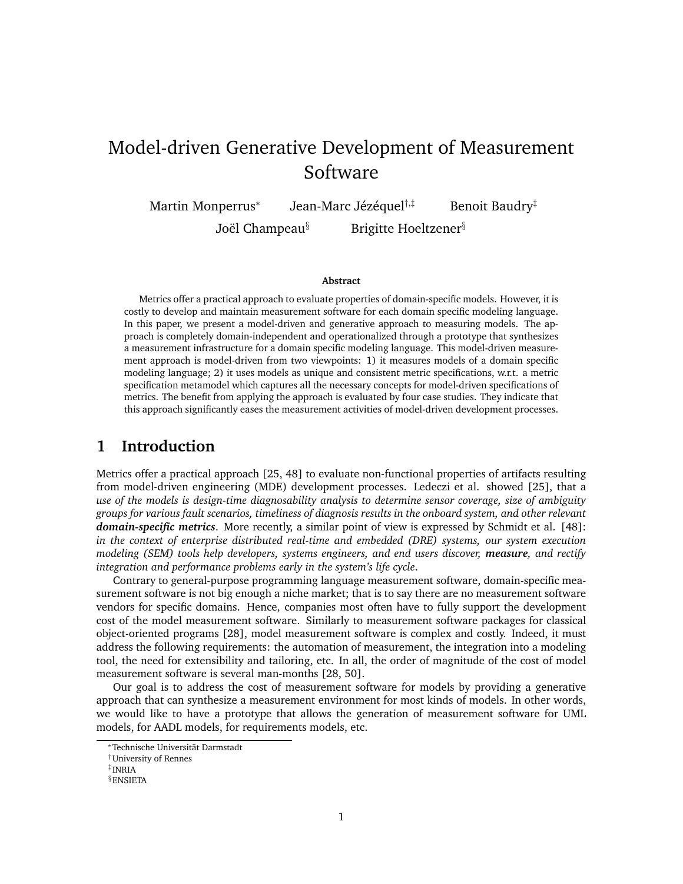# Model-driven Generative Development of Measurement Software

Martin Monperrus<sup>∗</sup> Jean-Marc Jézéquel<sup>†,‡</sup> Benoit Baudry<sup>‡</sup>

Joël Champeau<sup>§</sup> Brigitte Hoeltzener<sup>§</sup>

#### **Abstract**

Metrics offer a practical approach to evaluate properties of domain-specific models. However, it is costly to develop and maintain measurement software for each domain specific modeling language. In this paper, we present a model-driven and generative approach to measuring models. The approach is completely domain-independent and operationalized through a prototype that synthesizes a measurement infrastructure for a domain specific modeling language. This model-driven measurement approach is model-driven from two viewpoints: 1) it measures models of a domain specific modeling language; 2) it uses models as unique and consistent metric specifications, w.r.t. a metric specification metamodel which captures all the necessary concepts for model-driven specifications of metrics. The benefit from applying the approach is evaluated by four case studies. They indicate that this approach significantly eases the measurement activities of model-driven development processes.

## **1 Introduction**

Metrics offer a practical approach [25, 48] to evaluate non-functional properties of artifacts resulting from model-driven engineering (MDE) development processes. Ledeczi et al. showed [25], that a *use of the models is design-time diagnosability analysis to determine sensor coverage, size of ambiguity groups for various fault scenarios, timeliness of diagnosis results in the onboard system, and other relevant domain-specific metrics*. More recently, a similar point of view is expressed by Schmidt et al. [48]: *in the context of enterprise distributed real-time and embedded (DRE) systems, our system execution modeling (SEM) tools help developers, systems engineers, and end users discover, measure, and rectify integration and performance problems early in the system's life cycle*.

Contrary to general-purpose programming language measurement software, domain-specific measurement software is not big enough a niche market; that is to say there are no measurement software vendors for specific domains. Hence, companies most often have to fully support the development cost of the model measurement software. Similarly to measurement software packages for classical object-oriented programs [28], model measurement software is complex and costly. Indeed, it must address the following requirements: the automation of measurement, the integration into a modeling tool, the need for extensibility and tailoring, etc. In all, the order of magnitude of the cost of model measurement software is several man-months [28, 50].

Our goal is to address the cost of measurement software for models by providing a generative approach that can synthesize a measurement environment for most kinds of models. In other words, we would like to have a prototype that allows the generation of measurement software for UML models, for AADL models, for requirements models, etc.

<sup>∗</sup>Technische Universitat Darmstadt ¨

<sup>†</sup>University of Rennes

<sup>‡</sup> INRIA

<sup>§</sup>ENSIETA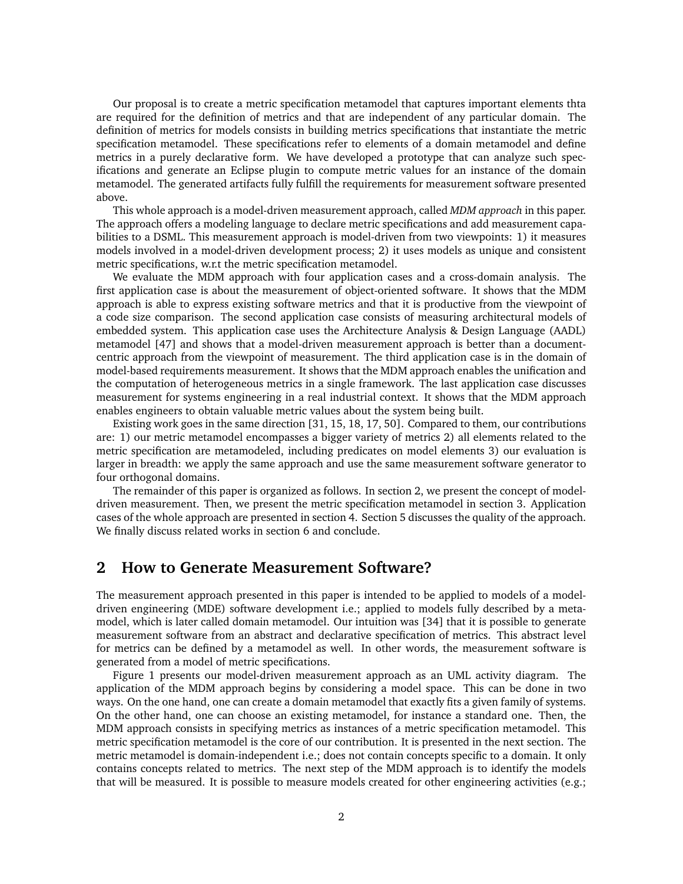Our proposal is to create a metric specification metamodel that captures important elements thta are required for the definition of metrics and that are independent of any particular domain. The definition of metrics for models consists in building metrics specifications that instantiate the metric specification metamodel. These specifications refer to elements of a domain metamodel and define metrics in a purely declarative form. We have developed a prototype that can analyze such specifications and generate an Eclipse plugin to compute metric values for an instance of the domain metamodel. The generated artifacts fully fulfill the requirements for measurement software presented above.

This whole approach is a model-driven measurement approach, called *MDM approach* in this paper. The approach offers a modeling language to declare metric specifications and add measurement capabilities to a DSML. This measurement approach is model-driven from two viewpoints: 1) it measures models involved in a model-driven development process; 2) it uses models as unique and consistent metric specifications, w.r.t the metric specification metamodel.

We evaluate the MDM approach with four application cases and a cross-domain analysis. The first application case is about the measurement of object-oriented software. It shows that the MDM approach is able to express existing software metrics and that it is productive from the viewpoint of a code size comparison. The second application case consists of measuring architectural models of embedded system. This application case uses the Architecture Analysis & Design Language (AADL) metamodel [47] and shows that a model-driven measurement approach is better than a documentcentric approach from the viewpoint of measurement. The third application case is in the domain of model-based requirements measurement. It shows that the MDM approach enables the unification and the computation of heterogeneous metrics in a single framework. The last application case discusses measurement for systems engineering in a real industrial context. It shows that the MDM approach enables engineers to obtain valuable metric values about the system being built.

Existing work goes in the same direction [31, 15, 18, 17, 50]. Compared to them, our contributions are: 1) our metric metamodel encompasses a bigger variety of metrics 2) all elements related to the metric specification are metamodeled, including predicates on model elements 3) our evaluation is larger in breadth: we apply the same approach and use the same measurement software generator to four orthogonal domains.

The remainder of this paper is organized as follows. In section 2, we present the concept of modeldriven measurement. Then, we present the metric specification metamodel in section 3. Application cases of the whole approach are presented in section 4. Section 5 discusses the quality of the approach. We finally discuss related works in section 6 and conclude.

### **2 How to Generate Measurement Software?**

The measurement approach presented in this paper is intended to be applied to models of a modeldriven engineering (MDE) software development i.e.; applied to models fully described by a metamodel, which is later called domain metamodel. Our intuition was [34] that it is possible to generate measurement software from an abstract and declarative specification of metrics. This abstract level for metrics can be defined by a metamodel as well. In other words, the measurement software is generated from a model of metric specifications.

Figure 1 presents our model-driven measurement approach as an UML activity diagram. The application of the MDM approach begins by considering a model space. This can be done in two ways. On the one hand, one can create a domain metamodel that exactly fits a given family of systems. On the other hand, one can choose an existing metamodel, for instance a standard one. Then, the MDM approach consists in specifying metrics as instances of a metric specification metamodel. This metric specification metamodel is the core of our contribution. It is presented in the next section. The metric metamodel is domain-independent i.e.; does not contain concepts specific to a domain. It only contains concepts related to metrics. The next step of the MDM approach is to identify the models that will be measured. It is possible to measure models created for other engineering activities (e.g.;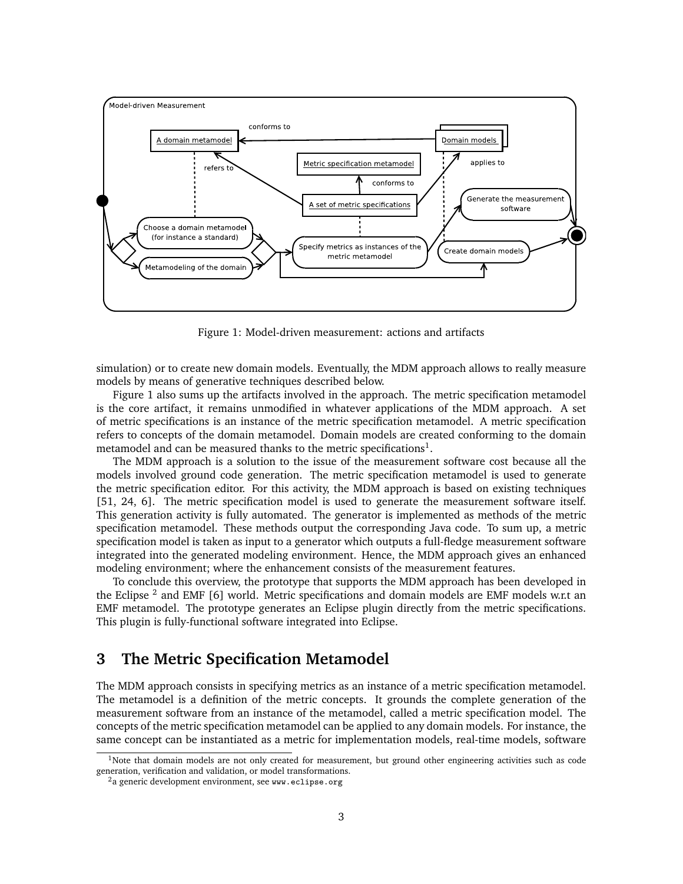

Figure 1: Model-driven measurement: actions and artifacts

simulation) or to create new domain models. Eventually, the MDM approach allows to really measure models by means of generative techniques described below.

Figure 1 also sums up the artifacts involved in the approach. The metric specification metamodel is the core artifact, it remains unmodified in whatever applications of the MDM approach. A set of metric specifications is an instance of the metric specification metamodel. A metric specification refers to concepts of the domain metamodel. Domain models are created conforming to the domain metamodel and can be measured thanks to the metric specifications $^1$ .

The MDM approach is a solution to the issue of the measurement software cost because all the models involved ground code generation. The metric specification metamodel is used to generate the metric specification editor. For this activity, the MDM approach is based on existing techniques [51, 24, 6]. The metric specification model is used to generate the measurement software itself. This generation activity is fully automated. The generator is implemented as methods of the metric specification metamodel. These methods output the corresponding Java code. To sum up, a metric specification model is taken as input to a generator which outputs a full-fledge measurement software integrated into the generated modeling environment. Hence, the MDM approach gives an enhanced modeling environment; where the enhancement consists of the measurement features.

To conclude this overview, the prototype that supports the MDM approach has been developed in the Eclipse<sup>2</sup> and EMF [6] world. Metric specifications and domain models are EMF models w.r.t an EMF metamodel. The prototype generates an Eclipse plugin directly from the metric specifications. This plugin is fully-functional software integrated into Eclipse.

## **3 The Metric Specification Metamodel**

The MDM approach consists in specifying metrics as an instance of a metric specification metamodel. The metamodel is a definition of the metric concepts. It grounds the complete generation of the measurement software from an instance of the metamodel, called a metric specification model. The concepts of the metric specification metamodel can be applied to any domain models. For instance, the same concept can be instantiated as a metric for implementation models, real-time models, software

 $1$ Note that domain models are not only created for measurement, but ground other engineering activities such as code generation, verification and validation, or model transformations.

<sup>2</sup>a generic development environment, see www.eclipse.org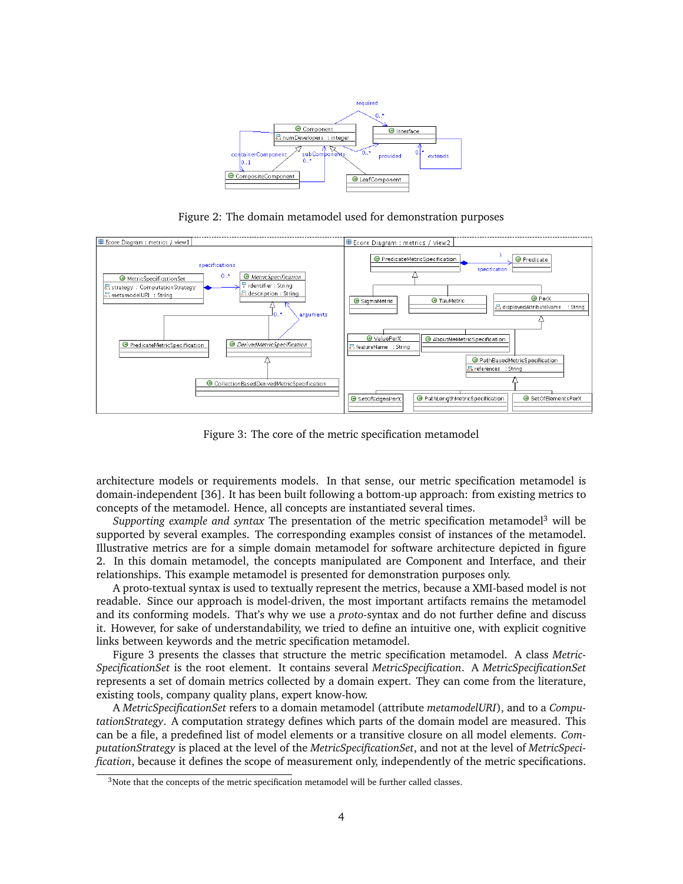

Figure 2: The domain metamodel used for demonstration purposes



Figure 3: The core of the metric specification metamodel

architecture models or requirements models. In that sense, our metric specification metamodel is domain-independent [36]. It has been built following a bottom-up approach: from existing metrics to concepts of the metamodel. Hence, all concepts are instantiated several times.

*Supporting example and syntax* The presentation of the metric specification metamodel<sup>3</sup> will be supported by several examples. The corresponding examples consist of instances of the metamodel. Illustrative metrics are for a simple domain metamodel for software architecture depicted in figure 2. In this domain metamodel, the concepts manipulated are Component and Interface, and their relationships. This example metamodel is presented for demonstration purposes only.

A proto-textual syntax is used to textually represent the metrics, because a XMI-based model is not readable. Since our approach is model-driven, the most important artifacts remains the metamodel and its conforming models. That's why we use a *proto-*syntax and do not further define and discuss it. However, for sake of understandability, we tried to define an intuitive one, with explicit cognitive links between keywords and the metric specification metamodel.

Figure 3 presents the classes that structure the metric specification metamodel. A class *Metric-SpecificationSet* is the root element. It contains several *MetricSpecification*. A *MetricSpecificationSet* represents a set of domain metrics collected by a domain expert. They can come from the literature, existing tools, company quality plans, expert know-how.

A *MetricSpecificationSet* refers to a domain metamodel (attribute *metamodelURI*), and to a *ComputationStrategy*. A computation strategy defines which parts of the domain model are measured. This can be a file, a predefined list of model elements or a transitive closure on all model elements. *ComputationStrategy* is placed at the level of the *MetricSpecificationSet*, and not at the level of *MetricSpecification*, because it defines the scope of measurement only, independently of the metric specifications.

<sup>&</sup>lt;sup>3</sup>Note that the concepts of the metric specification metamodel will be further called classes.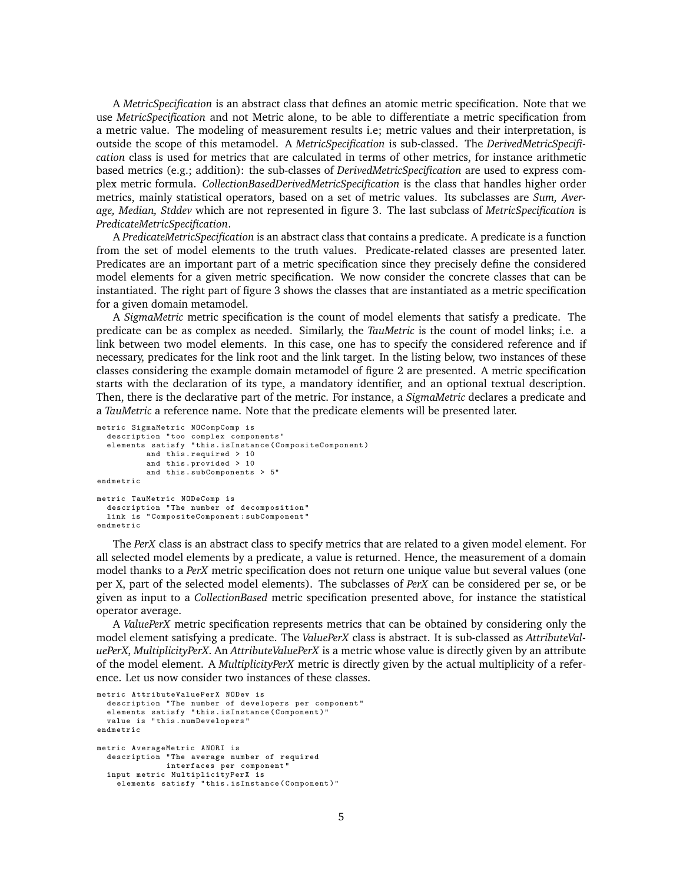A *MetricSpecification* is an abstract class that defines an atomic metric specification. Note that we use *MetricSpecification* and not Metric alone, to be able to differentiate a metric specification from a metric value. The modeling of measurement results i.e; metric values and their interpretation, is outside the scope of this metamodel. A *MetricSpecification* is sub-classed. The *DerivedMetricSpecification* class is used for metrics that are calculated in terms of other metrics, for instance arithmetic based metrics (e.g.; addition): the sub-classes of *DerivedMetricSpecification* are used to express complex metric formula. *CollectionBasedDerivedMetricSpecification* is the class that handles higher order metrics, mainly statistical operators, based on a set of metric values. Its subclasses are *Sum, Average, Median, Stddev* which are not represented in figure 3. The last subclass of *MetricSpecification* is *PredicateMetricSpecification*.

A *PredicateMetricSpecification* is an abstract class that contains a predicate. A predicate is a function from the set of model elements to the truth values. Predicate-related classes are presented later. Predicates are an important part of a metric specification since they precisely define the considered model elements for a given metric specification. We now consider the concrete classes that can be instantiated. The right part of figure 3 shows the classes that are instantiated as a metric specification for a given domain metamodel.

A *SigmaMetric* metric specification is the count of model elements that satisfy a predicate. The predicate can be as complex as needed. Similarly, the *TauMetric* is the count of model links; i.e. a link between two model elements. In this case, one has to specify the considered reference and if necessary, predicates for the link root and the link target. In the listing below, two instances of these classes considering the example domain metamodel of figure 2 are presented. A metric specification starts with the declaration of its type, a mandatory identifier, and an optional textual description. Then, there is the declarative part of the metric. For instance, a *SigmaMetric* declares a predicate and a *TauMetric* a reference name. Note that the predicate elements will be presented later.

```
metric SigmaMetric NOCompComp is
  description "too complex components"
  elements satisfy " this . isInstance ( CompositeComponent )
          and this required > 10
          and this.provided > 10
          and this.subComponents > 5"
endmetric
metric TauMetric NODeComp is
  description " The number of decomposition "
  link is " CompositeComponent : subComponent "
endmetric
```
The *PerX* class is an abstract class to specify metrics that are related to a given model element. For all selected model elements by a predicate, a value is returned. Hence, the measurement of a domain model thanks to a *PerX* metric specification does not return one unique value but several values (one per X, part of the selected model elements). The subclasses of *PerX* can be considered per se, or be given as input to a *CollectionBased* metric specification presented above, for instance the statistical operator average.

A *ValuePerX* metric specification represents metrics that can be obtained by considering only the model element satisfying a predicate. The *ValuePerX* class is abstract. It is sub-classed as *AttributeValuePerX*, *MultiplicityPerX*. An *AttributeValuePerX* is a metric whose value is directly given by an attribute of the model element. A *MultiplicityPerX* metric is directly given by the actual multiplicity of a reference. Let us now consider two instances of these classes.

```
metric AttributeValuePerX NODev is
  description " The number of developers per component "
  elements satisfy " this . isInstance ( Component )"
  value is " this . numDevelopers "
endmetric
metric AverageMetric ANORI is
  description " The average number of required
              interfaces per component "
  input metric MultiplicityPerX is
    elements satisfy " this . isInstance ( Component )"
```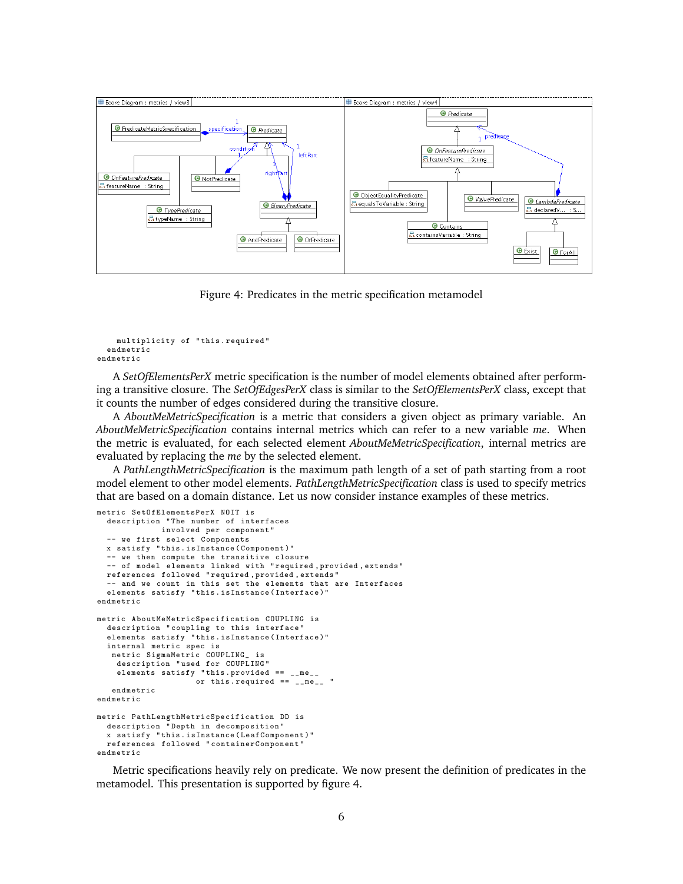

Figure 4: Predicates in the metric specification metamodel

```
multiplicity of " this . required "
  endmetric
endmetric
```
A *SetOfElementsPerX* metric specification is the number of model elements obtained after performing a transitive closure. The *SetOfEdgesPerX* class is similar to the *SetOfElementsPerX* class, except that it counts the number of edges considered during the transitive closure.

A *AboutMeMetricSpecification* is a metric that considers a given object as primary variable. An *AboutMeMetricSpecification* contains internal metrics which can refer to a new variable *me*. When the metric is evaluated, for each selected element *AboutMeMetricSpecification*, internal metrics are evaluated by replacing the *me* by the selected element.

A *PathLengthMetricSpecification* is the maximum path length of a set of path starting from a root model element to other model elements. *PathLengthMetricSpecification* class is used to specify metrics that are based on a domain distance. Let us now consider instance examples of these metrics.

```
metric SetOfElementsPerX NOIT is
  description " The number of interfaces
             involved per component "
  -- we first select Components
  x satisfy " this . isInstance ( Component )"
  -- we then compute the transitive closure
  -- of model elements linked with "required, provided, extends"
  references followed " required , provided , extends "
   -- and we count in this set the elements that are Interfaces
  elements satisfy " this . isInstance ( Interface )"
endmetric
metric AboutMeMetricSpecification COUPLING is
  description " coupling to this interface
  elements satisfy " this . isInstance ( Interface )"
  internal metric spec is
   metric SigmaMetric COUPLING_ is
    description " used for COUPLING "
    elements satisfy "this.provided == __me__
                    or this . required == __me__ "
   endmetric
endmetric
metric PathLengthMetricSpecification DD is
  description " Depth in decomposition "
  x satisfy " this . isInstance ( LeafComponent )"
  references followed " containerComponent "
endmetric
```
Metric specifications heavily rely on predicate. We now present the definition of predicates in the metamodel. This presentation is supported by figure 4.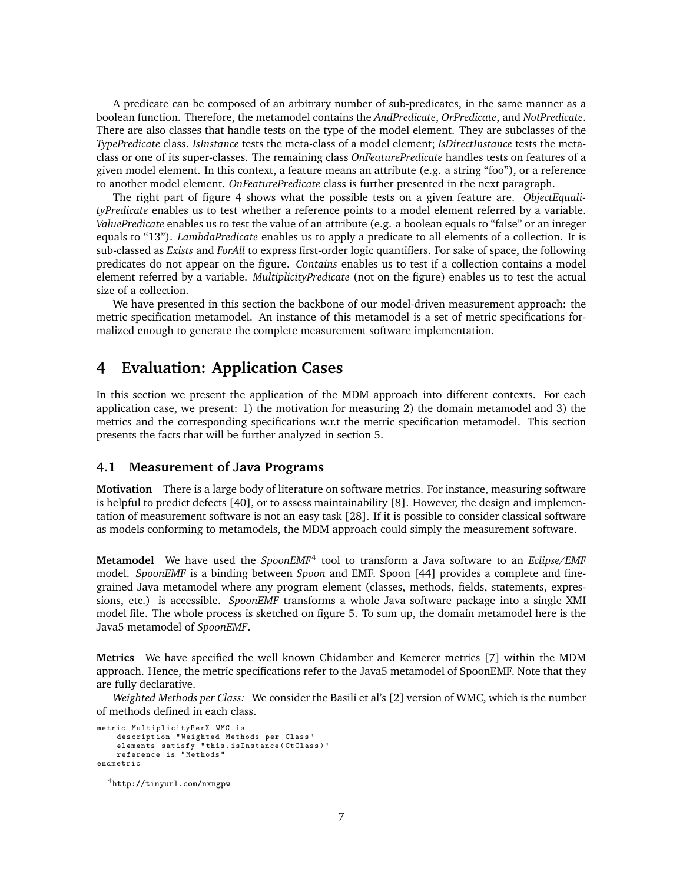A predicate can be composed of an arbitrary number of sub-predicates, in the same manner as a boolean function. Therefore, the metamodel contains the *AndPredicate*, *OrPredicate*, and *NotPredicate*. There are also classes that handle tests on the type of the model element. They are subclasses of the *TypePredicate* class. *IsInstance* tests the meta-class of a model element; *IsDirectInstance* tests the metaclass or one of its super-classes. The remaining class *OnFeaturePredicate* handles tests on features of a given model element. In this context, a feature means an attribute (e.g. a string "foo"), or a reference to another model element. *OnFeaturePredicate* class is further presented in the next paragraph.

The right part of figure 4 shows what the possible tests on a given feature are. *ObjectEqualityPredicate* enables us to test whether a reference points to a model element referred by a variable. *ValuePredicate* enables us to test the value of an attribute (e.g. a boolean equals to "false" or an integer equals to "13"). *LambdaPredicate* enables us to apply a predicate to all elements of a collection. It is sub-classed as *Exists* and *ForAll* to express first-order logic quantifiers. For sake of space, the following predicates do not appear on the figure. *Contains* enables us to test if a collection contains a model element referred by a variable. *MultiplicityPredicate* (not on the figure) enables us to test the actual size of a collection.

We have presented in this section the backbone of our model-driven measurement approach: the metric specification metamodel. An instance of this metamodel is a set of metric specifications formalized enough to generate the complete measurement software implementation.

# **4 Evaluation: Application Cases**

In this section we present the application of the MDM approach into different contexts. For each application case, we present: 1) the motivation for measuring 2) the domain metamodel and 3) the metrics and the corresponding specifications w.r.t the metric specification metamodel. This section presents the facts that will be further analyzed in section 5.

### **4.1 Measurement of Java Programs**

**Motivation** There is a large body of literature on software metrics. For instance, measuring software is helpful to predict defects [40], or to assess maintainability [8]. However, the design and implementation of measurement software is not an easy task [28]. If it is possible to consider classical software as models conforming to metamodels, the MDM approach could simply the measurement software.

**Metamodel** We have used the *SpoonEMF*<sup>4</sup> tool to transform a Java software to an *Eclipse/EMF* model. *SpoonEMF* is a binding between *Spoon* and EMF. Spoon [44] provides a complete and finegrained Java metamodel where any program element (classes, methods, fields, statements, expressions, etc.) is accessible. *SpoonEMF* transforms a whole Java software package into a single XMI model file. The whole process is sketched on figure 5. To sum up, the domain metamodel here is the Java5 metamodel of *SpoonEMF*.

**Metrics** We have specified the well known Chidamber and Kemerer metrics [7] within the MDM approach. Hence, the metric specifications refer to the Java5 metamodel of SpoonEMF. Note that they are fully declarative.

*Weighted Methods per Class:* We consider the Basili et al's [2] version of WMC, which is the number of methods defined in each class.

```
metric MultiplicityPerX WMC is
    description " Weighted Methods per Class "
    elements satisfy "this.isInstance (CtClass)"
    reference is " Methods "
endmetric
```
<sup>4</sup>http://tinyurl.com/nxngpw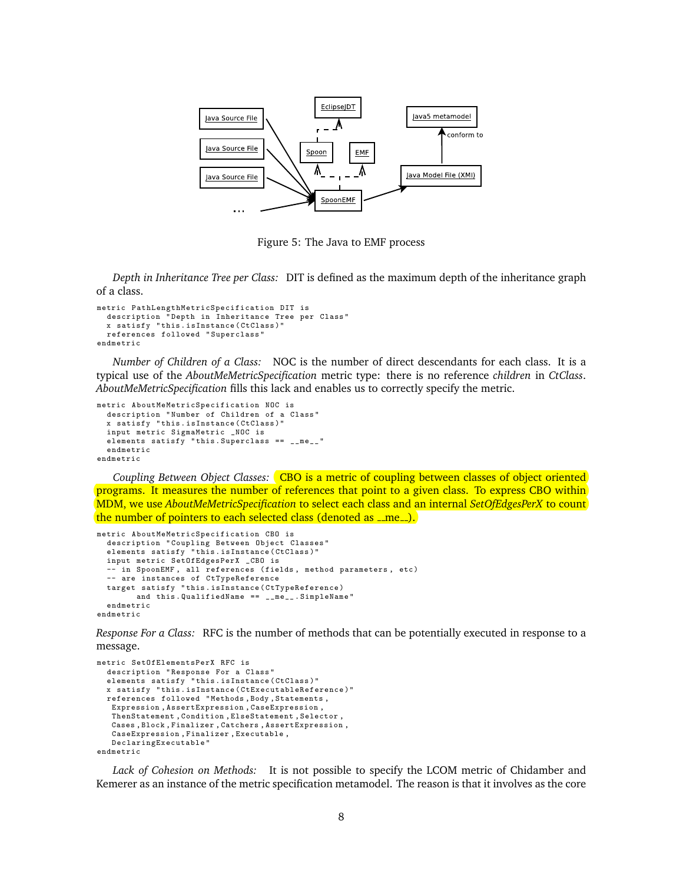

Figure 5: The Java to EMF process

*Depth in Inheritance Tree per Class:* DIT is defined as the maximum depth of the inheritance graph of a class.

```
metric PathLengthMetricSpecification DIT is
  description " Depth in Inheritance Tree per Class "
  x satisfy " this . isInstance ( CtClass )"
  references followed "Superclass"
endmetric
```
*Number of Children of a Class:* NOC is the number of direct descendants for each class. It is a typical use of the *AboutMeMetricSpecification* metric type: there is no reference *children* in *CtClass*. *AboutMeMetricSpecification* fills this lack and enables us to correctly specify the metric.

```
metric AboutMeMetricSpecification NOC is
   description " Number of Children of a Class "
x satisfy " this . isInstance ( CtClass )"
  input metric SigmaMetric _NOC is
  elements satisfy "this. Superclass == __me__"
  endmetric
endmetric
```
*Coupling Between Object Classes:* CBO is a metric of coupling between classes of object oriented programs. It measures the number of references that point to a given class. To express CBO within MDM, we use *AboutMeMetricSpecification* to select each class and an internal *SetOfEdgesPerX* to count the number of pointers to each selected class (denoted as  $\lnot$ me $\lnot$ ).

```
metric AboutMeMetricSpecification CBO is
  description " Coupling Between Object Classes "
  elements satisfy "this.isInstance (CtClass)"
  input metric SetOfEdgesPerX _CBO is
  -- in SpoonEMF, all references (fields, method parameters, etc)
  -- are instances of CtTypeReference
  target satisfy " this . isInstance ( CtTypeReference )
        and this . QualifiedName == __me__ . SimpleName "
  endmetric
endmetric
```
*Response For a Class:* RFC is the number of methods that can be potentially executed in response to a message.

```
metric SetOfElementsPerX RFC is
  description " Response For a Class "
  elements satisfy " this . isInstance ( CtClass )"
  x satisfy " this . isInstance ( CtExecutableReference )"
  references followed " Methods , Body , Statements ,
   Expression , AssertExpression , CaseExpression ,
   ThenStatement , Condition , ElseStatement , Selector ,
   Cases , Block , Finalizer , Catchers , AssertExpression ,
   CaseExpression , Finalizer , Executable ,
   DeclaringExecutable "
endmetric
```
*Lack of Cohesion on Methods:* It is not possible to specify the LCOM metric of Chidamber and Kemerer as an instance of the metric specification metamodel. The reason is that it involves as the core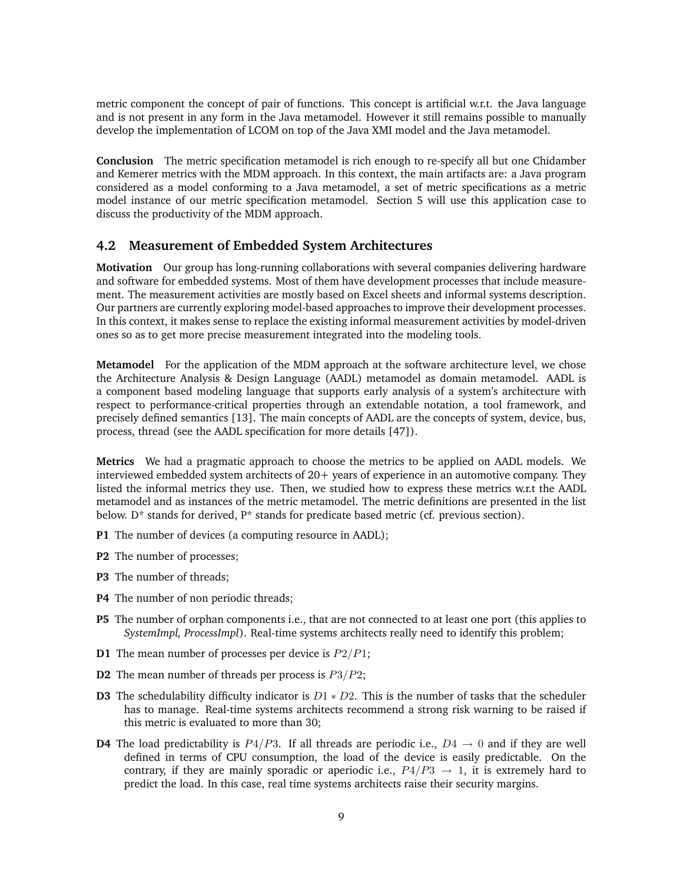metric component the concept of pair of functions. This concept is artificial w.r.t. the Java language and is not present in any form in the Java metamodel. However it still remains possible to manually develop the implementation of LCOM on top of the Java XMI model and the Java metamodel.

**Conclusion** The metric specification metamodel is rich enough to re-specify all but one Chidamber and Kemerer metrics with the MDM approach. In this context, the main artifacts are: a Java program considered as a model conforming to a Java metamodel, a set of metric specifications as a metric model instance of our metric specification metamodel. Section 5 will use this application case to discuss the productivity of the MDM approach.

### **4.2 Measurement of Embedded System Architectures**

**Motivation** Our group has long-running collaborations with several companies delivering hardware and software for embedded systems. Most of them have development processes that include measurement. The measurement activities are mostly based on Excel sheets and informal systems description. Our partners are currently exploring model-based approaches to improve their development processes. In this context, it makes sense to replace the existing informal measurement activities by model-driven ones so as to get more precise measurement integrated into the modeling tools.

**Metamodel** For the application of the MDM approach at the software architecture level, we chose the Architecture Analysis & Design Language (AADL) metamodel as domain metamodel. AADL is a component based modeling language that supports early analysis of a system's architecture with respect to performance-critical properties through an extendable notation, a tool framework, and precisely defined semantics [13]. The main concepts of AADL are the concepts of system, device, bus, process, thread (see the AADL specification for more details [47]).

**Metrics** We had a pragmatic approach to choose the metrics to be applied on AADL models. We interviewed embedded system architects of 20+ years of experience in an automotive company. They listed the informal metrics they use. Then, we studied how to express these metrics w.r.t the AADL metamodel and as instances of the metric metamodel. The metric definitions are presented in the list below. D\* stands for derived,  $P^*$  stands for predicate based metric (cf. previous section).

- **P1** The number of devices (a computing resource in AADL);
- **P2** The number of processes;
- **P3** The number of threads;
- **P4** The number of non periodic threads;
- **P5** The number of orphan components i.e., that are not connected to at least one port (this applies to *SystemImpl, ProcessImpl*). Real-time systems architects really need to identify this problem;
- **D1** The mean number of processes per device is  $P2/P1$ ;
- **D2** The mean number of threads per process is  $P3/P2$ ;
- **D3** The schedulability difficulty indicator is  $D1 * D2$ . This is the number of tasks that the scheduler has to manage. Real-time systems architects recommend a strong risk warning to be raised if this metric is evaluated to more than 30;
- **D4** The load predictability is  $P4/P3$ . If all threads are periodic i.e.,  $D4 \rightarrow 0$  and if they are well defined in terms of CPU consumption, the load of the device is easily predictable. On the contrary, if they are mainly sporadic or aperiodic i.e.,  $P4/P3 \rightarrow 1$ , it is extremely hard to predict the load. In this case, real time systems architects raise their security margins.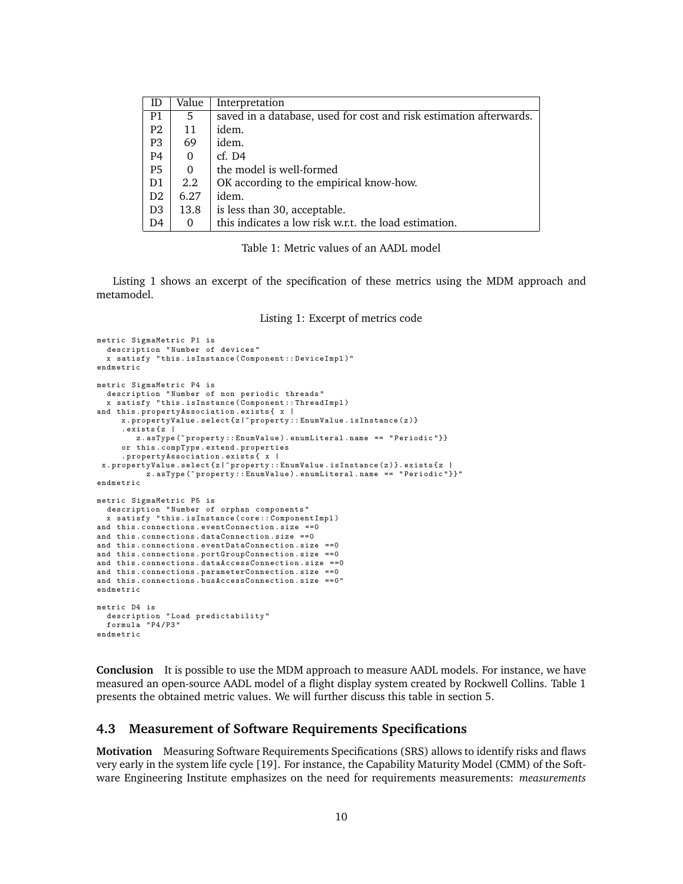| ID             | Value         | Interpretation                                                     |
|----------------|---------------|--------------------------------------------------------------------|
| P <sub>1</sub> | 5             | saved in a database, used for cost and risk estimation afterwards. |
| P <sub>2</sub> | 11            | idem.                                                              |
| P <sub>3</sub> | 69            | idem.                                                              |
| P <sub>4</sub> | $\Omega$      | cf. D4                                                             |
| <b>P5</b>      | $\Omega$      | the model is well-formed                                           |
| D1             | $2.2^{\circ}$ | OK according to the empirical know-how.                            |
| D2             | 6.27          | idem.                                                              |
| D3             | 13.8          | is less than 30, acceptable.                                       |
| D4             | 0             | this indicates a low risk w.r.t. the load estimation.              |

Table 1: Metric values of an AADL model

Listing 1 shows an excerpt of the specification of these metrics using the MDM approach and metamodel.

Listing 1: Excerpt of metrics code

```
metric SigmaMetric P1 is
  description " Number of devices "
  x satisfy " this . isInstance ( Component :: DeviceImpl )"
endmetric
metric SigmaMetric P4 is
  description " Number of non periodic threads "
  x satisfy " this . isInstance ( Component :: ThreadImpl )
and this . propertyAssociation . exists { x |
     x. propertyValue . select {z |~ property :: EnumValue . isInstance (z )}
     . exists {z |
        z. asType (~ property :: EnumValue ). enumLiteral . name == " Periodic "}}
     or this . compType . extend . properties
      . propertyAssociation . exists { x |
 x. propertyValue . select {z |~ property :: EnumValue . isInstance ( z )}. exists {z |
          z. asType (~ property :: EnumValue ). enumLiteral . name == " Periodic "}}"
endmetric
metric SigmaMetric P5 is
  description " Number of orphan components "
  x satisfy " this . isInstance ( core :: ComponentImpl )
and this . connections . eventConnection . size ==0
and this . connections . dataConnection . size ==0
and this. connections. eventDataConnection. size == 0
and this . connections . portGroupConnection . size ==0
and this . connections . dataAccessConnection . size ==0
and this . connections . parameterConnection . size ==0
and this . connections . busAccessConnection . size ==0"
endmetric
metric D4 is
 description " Load predictability "
  formula " P4 / P3 "
endmetric
```
**Conclusion** It is possible to use the MDM approach to measure AADL models. For instance, we have measured an open-source AADL model of a flight display system created by Rockwell Collins. Table 1 presents the obtained metric values. We will further discuss this table in section 5.

#### **4.3 Measurement of Software Requirements Specifications**

**Motivation** Measuring Software Requirements Specifications (SRS) allows to identify risks and flaws very early in the system life cycle [19]. For instance, the Capability Maturity Model (CMM) of the Software Engineering Institute emphasizes on the need for requirements measurements: *measurements*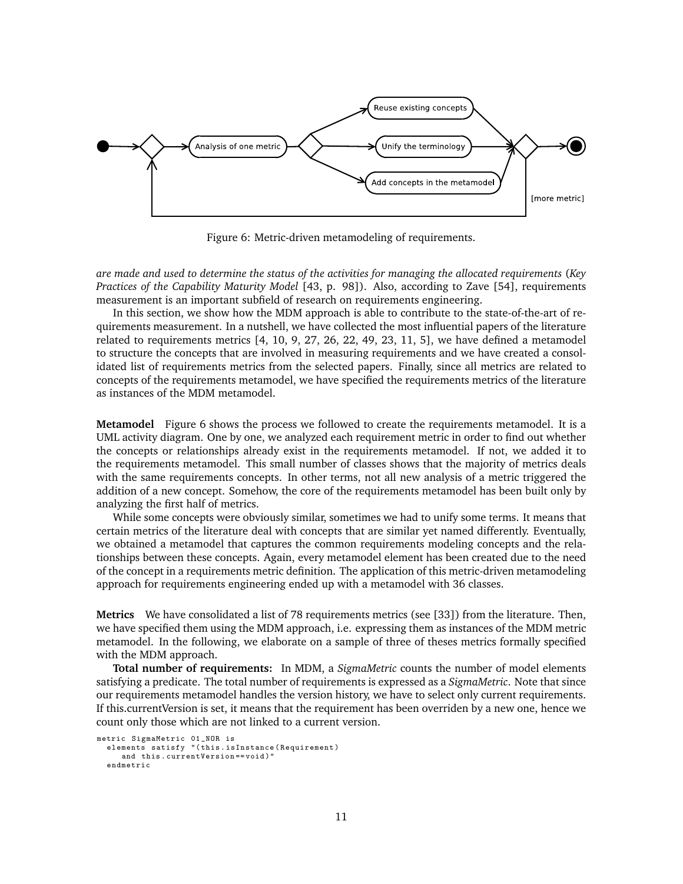

Figure 6: Metric-driven metamodeling of requirements.

*are made and used to determine the status of the activities for managing the allocated requirements* (*Key Practices of the Capability Maturity Model* [43, p. 98]). Also, according to Zave [54], requirements measurement is an important subfield of research on requirements engineering.

In this section, we show how the MDM approach is able to contribute to the state-of-the-art of requirements measurement. In a nutshell, we have collected the most influential papers of the literature related to requirements metrics [4, 10, 9, 27, 26, 22, 49, 23, 11, 5], we have defined a metamodel to structure the concepts that are involved in measuring requirements and we have created a consolidated list of requirements metrics from the selected papers. Finally, since all metrics are related to concepts of the requirements metamodel, we have specified the requirements metrics of the literature as instances of the MDM metamodel.

**Metamodel** Figure 6 shows the process we followed to create the requirements metamodel. It is a UML activity diagram. One by one, we analyzed each requirement metric in order to find out whether the concepts or relationships already exist in the requirements metamodel. If not, we added it to the requirements metamodel. This small number of classes shows that the majority of metrics deals with the same requirements concepts. In other terms, not all new analysis of a metric triggered the addition of a new concept. Somehow, the core of the requirements metamodel has been built only by analyzing the first half of metrics.

While some concepts were obviously similar, sometimes we had to unify some terms. It means that certain metrics of the literature deal with concepts that are similar yet named differently. Eventually, we obtained a metamodel that captures the common requirements modeling concepts and the relationships between these concepts. Again, every metamodel element has been created due to the need of the concept in a requirements metric definition. The application of this metric-driven metamodeling approach for requirements engineering ended up with a metamodel with 36 classes.

**Metrics** We have consolidated a list of 78 requirements metrics (see [33]) from the literature. Then, we have specified them using the MDM approach, i.e. expressing them as instances of the MDM metric metamodel. In the following, we elaborate on a sample of three of theses metrics formally specified with the MDM approach.

**Total number of requirements:** In MDM, a *SigmaMetric* counts the number of model elements satisfying a predicate. The total number of requirements is expressed as a *SigmaMetric*. Note that since our requirements metamodel handles the version history, we have to select only current requirements. If this.currentVersion is set, it means that the requirement has been overriden by a new one, hence we count only those which are not linked to a current version.

```
metric SigmaMetric 01 _NOR is
  elements satisfy "( this . isInstance ( Requirement )
     and this.currentVersion == void)"
  endmetric
```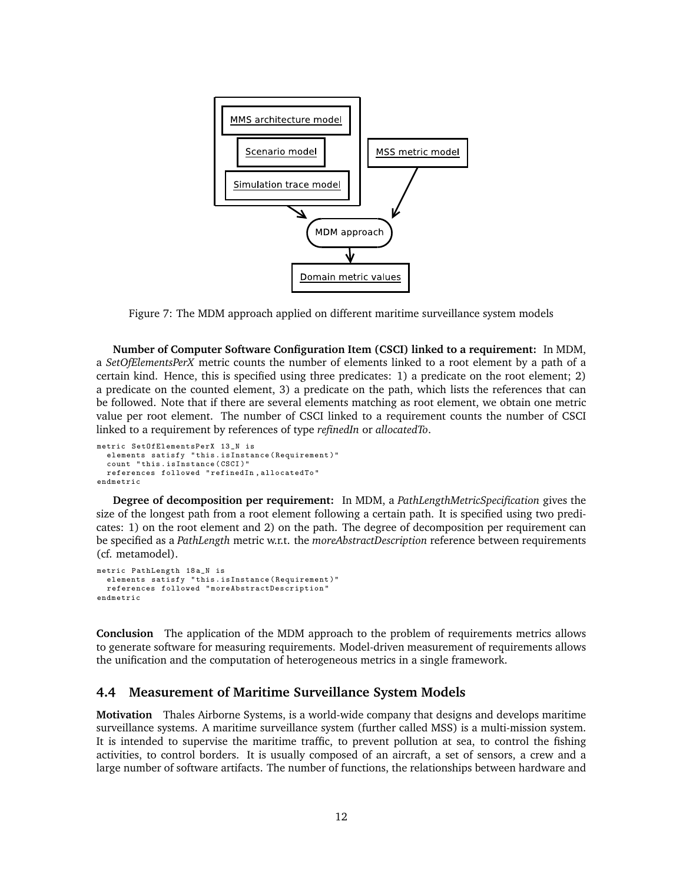

Figure 7: The MDM approach applied on different maritime surveillance system models

**Number of Computer Software Configuration Item (CSCI) linked to a requirement:** In MDM, a *SetOfElementsPerX* metric counts the number of elements linked to a root element by a path of a certain kind. Hence, this is specified using three predicates: 1) a predicate on the root element; 2) a predicate on the counted element, 3) a predicate on the path, which lists the references that can be followed. Note that if there are several elements matching as root element, we obtain one metric value per root element. The number of CSCI linked to a requirement counts the number of CSCI linked to a requirement by references of type *refinedIn* or *allocatedTo*.

```
metric SetOfElementsPerX 13 N is
  elements satisfy " this . isInstance ( Requirement )"
  count " this . isInstance ( CSCI )"
  references followed " refinedIn , allocatedTo "
endmetric
```
**Degree of decomposition per requirement:** In MDM, a *PathLengthMetricSpecification* gives the size of the longest path from a root element following a certain path. It is specified using two predicates: 1) on the root element and 2) on the path. The degree of decomposition per requirement can be specified as a *PathLength* metric w.r.t. the *moreAbstractDescription* reference between requirements (cf. metamodel).

```
metric PathLength 18a_N is
  elements satisfy " this . isInstance ( Requirement )"
  references followed " moreAbstractDescription "
endmetric
```
**Conclusion** The application of the MDM approach to the problem of requirements metrics allows to generate software for measuring requirements. Model-driven measurement of requirements allows the unification and the computation of heterogeneous metrics in a single framework.

### **4.4 Measurement of Maritime Surveillance System Models**

**Motivation** Thales Airborne Systems, is a world-wide company that designs and develops maritime surveillance systems. A maritime surveillance system (further called MSS) is a multi-mission system. It is intended to supervise the maritime traffic, to prevent pollution at sea, to control the fishing activities, to control borders. It is usually composed of an aircraft, a set of sensors, a crew and a large number of software artifacts. The number of functions, the relationships between hardware and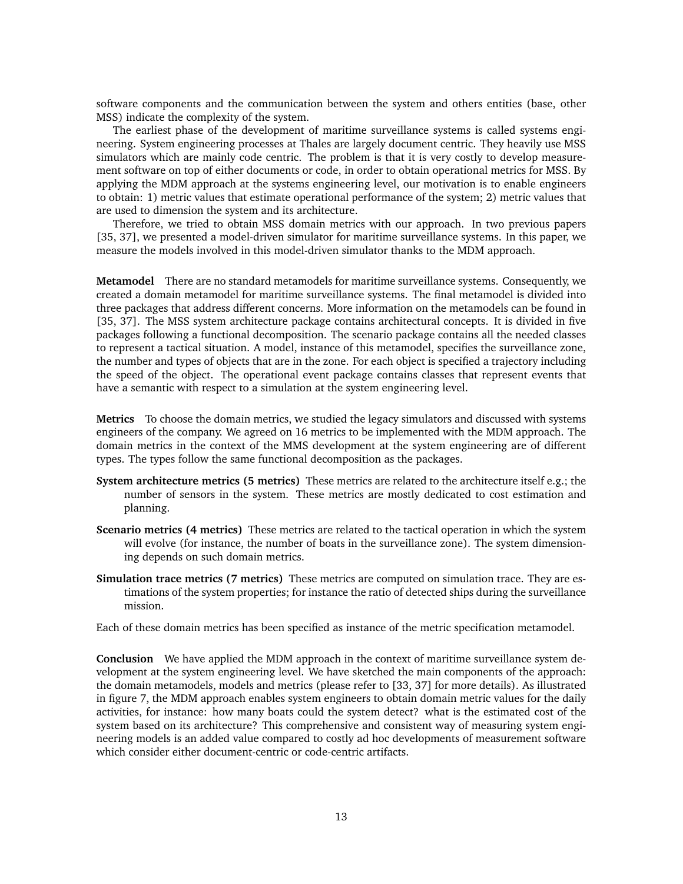software components and the communication between the system and others entities (base, other MSS) indicate the complexity of the system.

The earliest phase of the development of maritime surveillance systems is called systems engineering. System engineering processes at Thales are largely document centric. They heavily use MSS simulators which are mainly code centric. The problem is that it is very costly to develop measurement software on top of either documents or code, in order to obtain operational metrics for MSS. By applying the MDM approach at the systems engineering level, our motivation is to enable engineers to obtain: 1) metric values that estimate operational performance of the system; 2) metric values that are used to dimension the system and its architecture.

Therefore, we tried to obtain MSS domain metrics with our approach. In two previous papers [35, 37], we presented a model-driven simulator for maritime surveillance systems. In this paper, we measure the models involved in this model-driven simulator thanks to the MDM approach.

**Metamodel** There are no standard metamodels for maritime surveillance systems. Consequently, we created a domain metamodel for maritime surveillance systems. The final metamodel is divided into three packages that address different concerns. More information on the metamodels can be found in [35, 37]. The MSS system architecture package contains architectural concepts. It is divided in five packages following a functional decomposition. The scenario package contains all the needed classes to represent a tactical situation. A model, instance of this metamodel, specifies the surveillance zone, the number and types of objects that are in the zone. For each object is specified a trajectory including the speed of the object. The operational event package contains classes that represent events that have a semantic with respect to a simulation at the system engineering level.

**Metrics** To choose the domain metrics, we studied the legacy simulators and discussed with systems engineers of the company. We agreed on 16 metrics to be implemented with the MDM approach. The domain metrics in the context of the MMS development at the system engineering are of different types. The types follow the same functional decomposition as the packages.

- **System architecture metrics (5 metrics)** These metrics are related to the architecture itself e.g.; the number of sensors in the system. These metrics are mostly dedicated to cost estimation and planning.
- **Scenario metrics (4 metrics)** These metrics are related to the tactical operation in which the system will evolve (for instance, the number of boats in the surveillance zone). The system dimensioning depends on such domain metrics.
- **Simulation trace metrics (7 metrics)** These metrics are computed on simulation trace. They are estimations of the system properties; for instance the ratio of detected ships during the surveillance mission.

Each of these domain metrics has been specified as instance of the metric specification metamodel.

**Conclusion** We have applied the MDM approach in the context of maritime surveillance system development at the system engineering level. We have sketched the main components of the approach: the domain metamodels, models and metrics (please refer to [33, 37] for more details). As illustrated in figure 7, the MDM approach enables system engineers to obtain domain metric values for the daily activities, for instance: how many boats could the system detect? what is the estimated cost of the system based on its architecture? This comprehensive and consistent way of measuring system engineering models is an added value compared to costly ad hoc developments of measurement software which consider either document-centric or code-centric artifacts.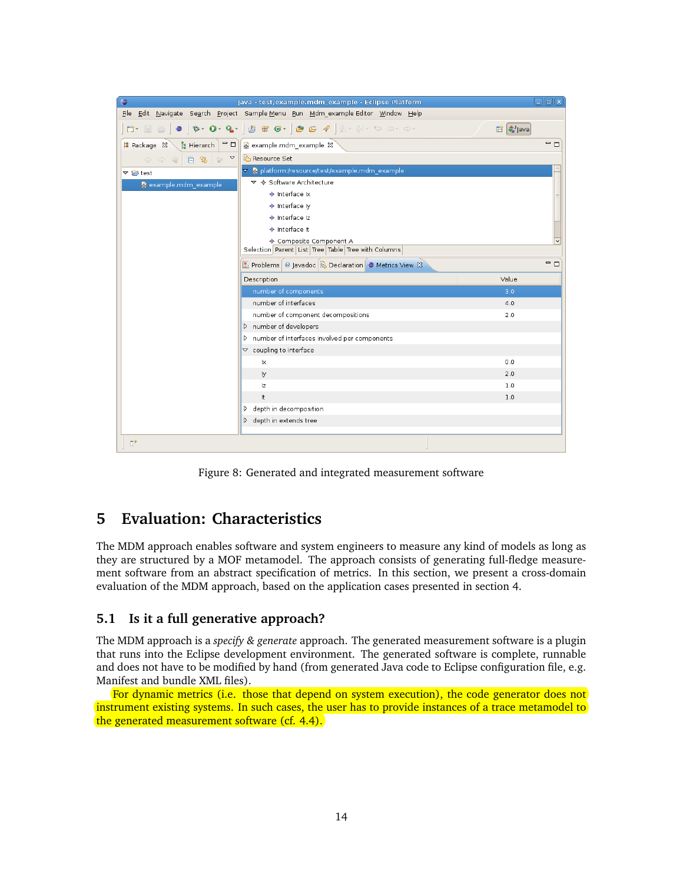| ℮                                                                                  | Java - test/example.mdm_example - Eclipse Platform                               |                | anar       |  |
|------------------------------------------------------------------------------------|----------------------------------------------------------------------------------|----------------|------------|--|
|                                                                                    | File Edit Navigate Search Project Sample Menu Run Mdm example Editor Window Help |                |            |  |
|                                                                                    |                                                                                  | <b>fil</b> ava |            |  |
| $\blacksquare$<br><mark>្រ</mark> ៃ Hierarch<br>■ Package 23                       | example.mdm example &                                                            |                | $=$ $\Box$ |  |
| $\blacktriangledown$<br>日色<br>$-29$<br>$\Leftrightarrow$ $\Leftrightarrow$ $\cong$ | Resource Set                                                                     |                |            |  |
| ▽ Dest                                                                             | ▼ & platform:/resource/test/example.mdm example                                  |                |            |  |
| example.mdm_example                                                                | $\triangledown \blacktriangleleft$ Software Architecture                         |                |            |  |
|                                                                                    | $\triangle$ Interface Ix                                                         |                |            |  |
|                                                                                    | ◆ Interface Iv                                                                   |                |            |  |
|                                                                                    | $\triangle$ Interface Iz                                                         |                |            |  |
|                                                                                    | $\triangle$ Interface It                                                         |                |            |  |
|                                                                                    | ♦ Composite Component A                                                          |                |            |  |
|                                                                                    | Selection Parent List Tree Table Tree with Columns                               |                |            |  |
|                                                                                    | Problems @ Javadoc & Declaration C Metrics View &                                |                | $ -$       |  |
|                                                                                    | Description                                                                      | Value          |            |  |
|                                                                                    | number of components                                                             | 3.0            |            |  |
|                                                                                    | number of interfaces                                                             | 4.0            |            |  |
|                                                                                    | number of component decompositions                                               | 2.0            |            |  |
|                                                                                    | D number of developers                                                           |                |            |  |
|                                                                                    | ▷ number of interfaces involved per components                                   |                |            |  |
|                                                                                    | $\triangledown$ coupling to interface                                            |                |            |  |
|                                                                                    | ×                                                                                | 0.0            |            |  |
|                                                                                    | ly                                                                               | 2.0            |            |  |
|                                                                                    | Iz.                                                                              | 1.0            |            |  |
|                                                                                    | It.                                                                              | 1.0            |            |  |
|                                                                                    | depth in decomposition<br>Þ                                                      |                |            |  |
|                                                                                    | D depth in extends tree                                                          |                |            |  |
| n*                                                                                 |                                                                                  |                |            |  |

Figure 8: Generated and integrated measurement software

# **5 Evaluation: Characteristics**

The MDM approach enables software and system engineers to measure any kind of models as long as they are structured by a MOF metamodel. The approach consists of generating full-fledge measurement software from an abstract specification of metrics. In this section, we present a cross-domain evaluation of the MDM approach, based on the application cases presented in section 4.

### **5.1 Is it a full generative approach?**

The MDM approach is a *specify & generate* approach. The generated measurement software is a plugin that runs into the Eclipse development environment. The generated software is complete, runnable and does not have to be modified by hand (from generated Java code to Eclipse configuration file, e.g. Manifest and bundle XML files).

For dynamic metrics (i.e. those that depend on system execution), the code generator does not instrument existing systems. In such cases, the user has to provide instances of a trace metamodel to the generated measurement software (cf. 4.4).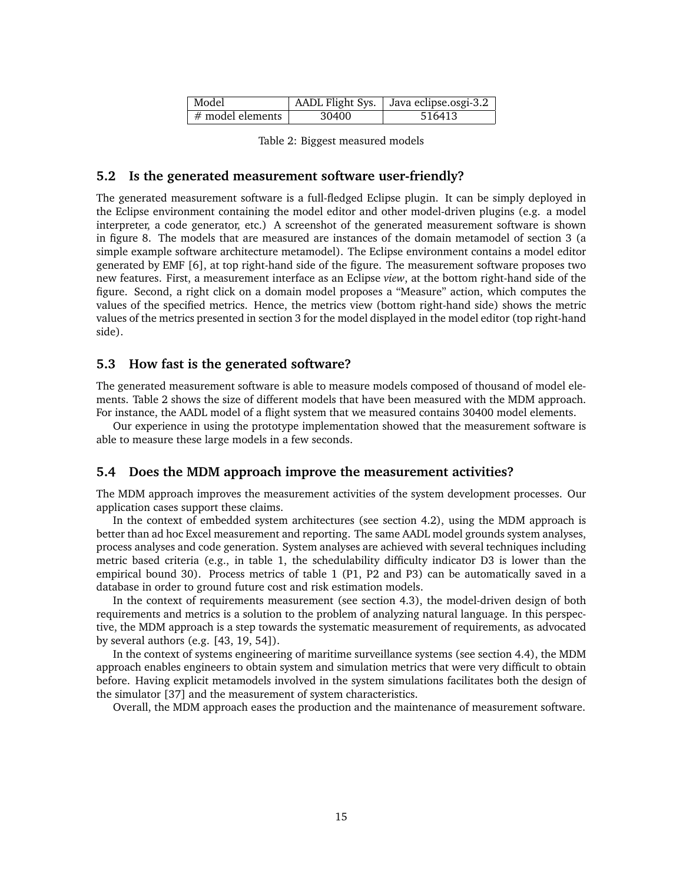| Model               |       | AADL Flight Sys.   Java eclipse.osgi-3.2 |
|---------------------|-------|------------------------------------------|
| $\#$ model elements | 30400 | 516413                                   |

Table 2: Biggest measured models

#### **5.2 Is the generated measurement software user-friendly?**

The generated measurement software is a full-fledged Eclipse plugin. It can be simply deployed in the Eclipse environment containing the model editor and other model-driven plugins (e.g. a model interpreter, a code generator, etc.) A screenshot of the generated measurement software is shown in figure 8. The models that are measured are instances of the domain metamodel of section 3 (a simple example software architecture metamodel). The Eclipse environment contains a model editor generated by EMF [6], at top right-hand side of the figure. The measurement software proposes two new features. First, a measurement interface as an Eclipse *view*, at the bottom right-hand side of the figure. Second, a right click on a domain model proposes a "Measure" action, which computes the values of the specified metrics. Hence, the metrics view (bottom right-hand side) shows the metric values of the metrics presented in section 3 for the model displayed in the model editor (top right-hand side).

### **5.3 How fast is the generated software?**

The generated measurement software is able to measure models composed of thousand of model elements. Table 2 shows the size of different models that have been measured with the MDM approach. For instance, the AADL model of a flight system that we measured contains 30400 model elements.

Our experience in using the prototype implementation showed that the measurement software is able to measure these large models in a few seconds.

### **5.4 Does the MDM approach improve the measurement activities?**

The MDM approach improves the measurement activities of the system development processes. Our application cases support these claims.

In the context of embedded system architectures (see section 4.2), using the MDM approach is better than ad hoc Excel measurement and reporting. The same AADL model grounds system analyses, process analyses and code generation. System analyses are achieved with several techniques including metric based criteria (e.g., in table 1, the schedulability difficulty indicator D3 is lower than the empirical bound 30). Process metrics of table 1 (P1, P2 and P3) can be automatically saved in a database in order to ground future cost and risk estimation models.

In the context of requirements measurement (see section 4.3), the model-driven design of both requirements and metrics is a solution to the problem of analyzing natural language. In this perspective, the MDM approach is a step towards the systematic measurement of requirements, as advocated by several authors (e.g. [43, 19, 54]).

In the context of systems engineering of maritime surveillance systems (see section 4.4), the MDM approach enables engineers to obtain system and simulation metrics that were very difficult to obtain before. Having explicit metamodels involved in the system simulations facilitates both the design of the simulator [37] and the measurement of system characteristics.

Overall, the MDM approach eases the production and the maintenance of measurement software.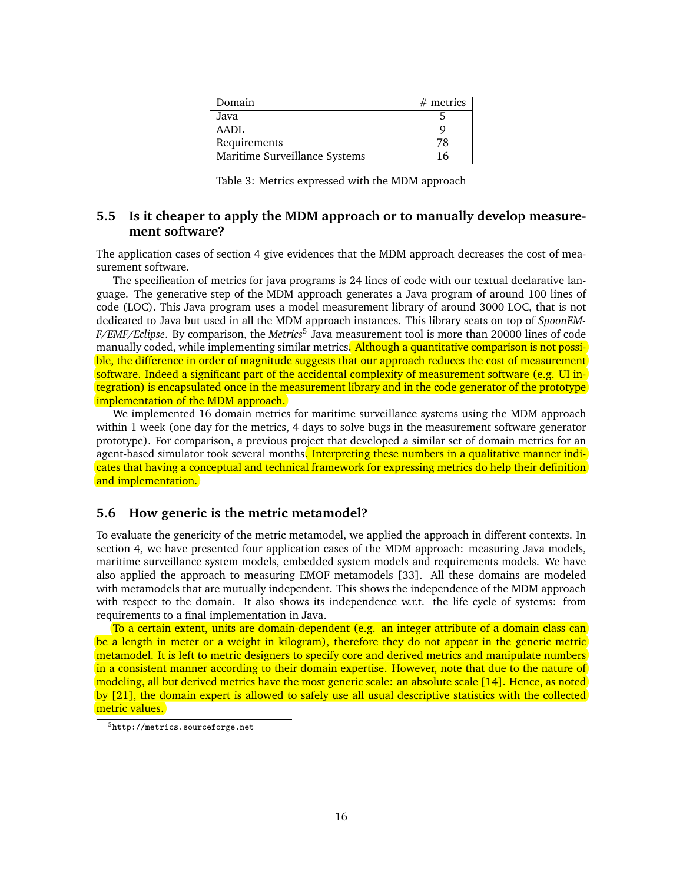| Domain                        | $#$ metrics |
|-------------------------------|-------------|
| Java                          |             |
| AADI.                         |             |
| Requirements                  | 78          |
| Maritime Surveillance Systems | 16          |

Table 3: Metrics expressed with the MDM approach

### **5.5 Is it cheaper to apply the MDM approach or to manually develop measurement software?**

The application cases of section 4 give evidences that the MDM approach decreases the cost of measurement software.

The specification of metrics for java programs is 24 lines of code with our textual declarative language. The generative step of the MDM approach generates a Java program of around 100 lines of code (LOC). This Java program uses a model measurement library of around 3000 LOC, that is not dedicated to Java but used in all the MDM approach instances. This library seats on top of *SpoonEM-F/EMF/Eclipse*. By comparison, the *Metrics*<sup>5</sup> Java measurement tool is more than 20000 lines of code manually coded, while implementing similar metrics. Although a quantitative comparison is not possible, the difference in order of magnitude suggests that our approach reduces the cost of measurement software. Indeed a significant part of the accidental complexity of measurement software (e.g. UI integration) is encapsulated once in the measurement library and in the code generator of the prototype implementation of the MDM approach.

We implemented 16 domain metrics for maritime surveillance systems using the MDM approach within 1 week (one day for the metrics, 4 days to solve bugs in the measurement software generator prototype). For comparison, a previous project that developed a similar set of domain metrics for an agent-based simulator took several months. Interpreting these numbers in a qualitative manner indicates that having a conceptual and technical framework for expressing metrics do help their definition and implementation.

#### **5.6 How generic is the metric metamodel?**

To evaluate the genericity of the metric metamodel, we applied the approach in different contexts. In section 4, we have presented four application cases of the MDM approach: measuring Java models, maritime surveillance system models, embedded system models and requirements models. We have also applied the approach to measuring EMOF metamodels [33]. All these domains are modeled with metamodels that are mutually independent. This shows the independence of the MDM approach with respect to the domain. It also shows its independence w.r.t. the life cycle of systems: from requirements to a final implementation in Java.

To a certain extent, units are domain-dependent (e.g. an integer attribute of a domain class can be a length in meter or a weight in kilogram), therefore they do not appear in the generic metric metamodel. It is left to metric designers to specify core and derived metrics and manipulate numbers in a consistent manner according to their domain expertise. However, note that due to the nature of modeling, all but derived metrics have the most generic scale: an absolute scale [14]. Hence, as noted by [21], the domain expert is allowed to safely use all usual descriptive statistics with the collected metric values.

<sup>5</sup>http://metrics.sourceforge.net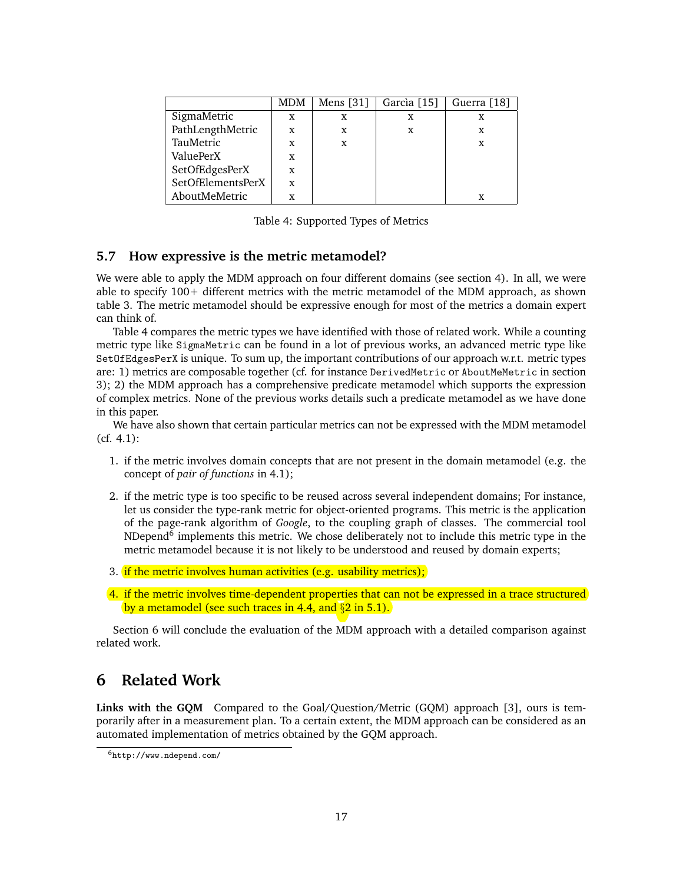|                   | <b>MDM</b> | Mens $[31]$ | Garcìa [15] | Guerra [18] |
|-------------------|------------|-------------|-------------|-------------|
| SigmaMetric       | X          | X           | X           | X           |
| PathLengthMetric  | X          | X           | X           | x           |
| TauMetric         | x          | X           |             | X           |
| ValuePerX         | X          |             |             |             |
| SetOfEdgesPerX    | X          |             |             |             |
| SetOfElementsPerX | X          |             |             |             |
| AboutMeMetric     | X          |             |             |             |

Table 4: Supported Types of Metrics

### **5.7 How expressive is the metric metamodel?**

We were able to apply the MDM approach on four different domains (see section 4). In all, we were able to specify 100+ different metrics with the metric metamodel of the MDM approach, as shown table 3. The metric metamodel should be expressive enough for most of the metrics a domain expert can think of.

Table 4 compares the metric types we have identified with those of related work. While a counting metric type like SigmaMetric can be found in a lot of previous works, an advanced metric type like SetOfEdgesPerX is unique. To sum up, the important contributions of our approach w.r.t. metric types are: 1) metrics are composable together (cf. for instance DerivedMetric or AboutMeMetric in section 3); 2) the MDM approach has a comprehensive predicate metamodel which supports the expression of complex metrics. None of the previous works details such a predicate metamodel as we have done in this paper.

We have also shown that certain particular metrics can not be expressed with the MDM metamodel (cf. 4.1):

- 1. if the metric involves domain concepts that are not present in the domain metamodel (e.g. the concept of *pair of functions* in 4.1);
- 2. if the metric type is too specific to be reused across several independent domains; For instance, let us consider the type-rank metric for object-oriented programs. This metric is the application of the page-rank algorithm of *Google*, to the coupling graph of classes. The commercial tool NDepend<sup>6</sup> implements this metric. We chose deliberately not to include this metric type in the metric metamodel because it is not likely to be understood and reused by domain experts;
- 3. if the metric involves human activities (e.g. usability metrics);
- 4. if the metric involves time-dependent properties that can not be expressed in a trace structured by a metamodel (see such traces in 4.4, and §2 in 5.1).

Section 6 will conclude the evaluation of the MDM approach with a detailed comparison against related work.

## **6 Related Work**

**Links with the GQM** Compared to the Goal/Question/Metric (GQM) approach [3], ours is temporarily after in a measurement plan. To a certain extent, the MDM approach can be considered as an automated implementation of metrics obtained by the GQM approach.

<sup>6</sup>http://www.ndepend.com/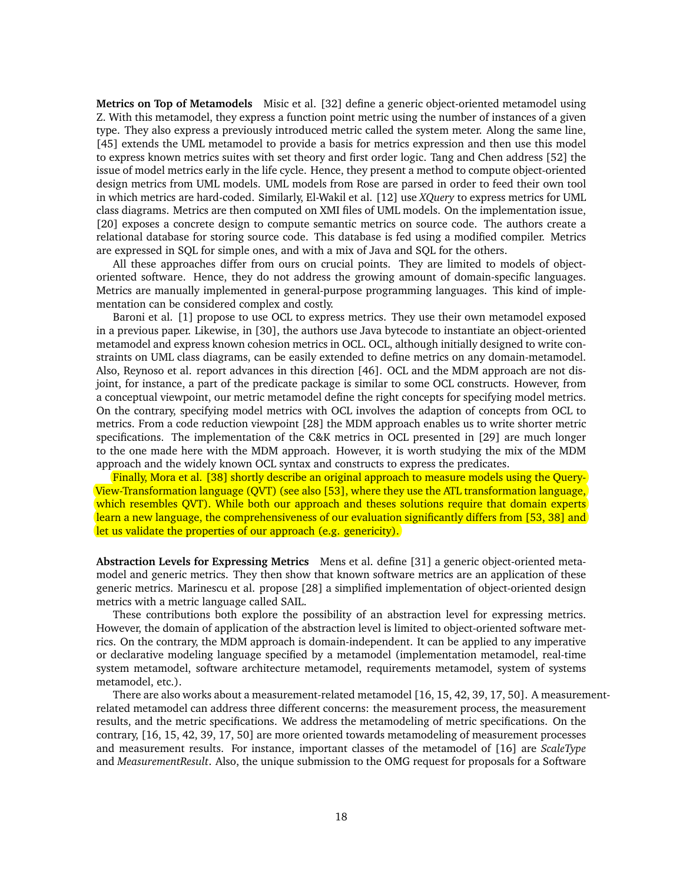**Metrics on Top of Metamodels** Misic et al. [32] define a generic object-oriented metamodel using Z. With this metamodel, they express a function point metric using the number of instances of a given type. They also express a previously introduced metric called the system meter. Along the same line, [45] extends the UML metamodel to provide a basis for metrics expression and then use this model to express known metrics suites with set theory and first order logic. Tang and Chen address [52] the issue of model metrics early in the life cycle. Hence, they present a method to compute object-oriented design metrics from UML models. UML models from Rose are parsed in order to feed their own tool in which metrics are hard-coded. Similarly, El-Wakil et al. [12] use *XQuery* to express metrics for UML class diagrams. Metrics are then computed on XMI files of UML models. On the implementation issue, [20] exposes a concrete design to compute semantic metrics on source code. The authors create a relational database for storing source code. This database is fed using a modified compiler. Metrics are expressed in SQL for simple ones, and with a mix of Java and SQL for the others.

All these approaches differ from ours on crucial points. They are limited to models of objectoriented software. Hence, they do not address the growing amount of domain-specific languages. Metrics are manually implemented in general-purpose programming languages. This kind of implementation can be considered complex and costly.

Baroni et al. [1] propose to use OCL to express metrics. They use their own metamodel exposed in a previous paper. Likewise, in [30], the authors use Java bytecode to instantiate an object-oriented metamodel and express known cohesion metrics in OCL. OCL, although initially designed to write constraints on UML class diagrams, can be easily extended to define metrics on any domain-metamodel. Also, Reynoso et al. report advances in this direction [46]. OCL and the MDM approach are not disjoint, for instance, a part of the predicate package is similar to some OCL constructs. However, from a conceptual viewpoint, our metric metamodel define the right concepts for specifying model metrics. On the contrary, specifying model metrics with OCL involves the adaption of concepts from OCL to metrics. From a code reduction viewpoint [28] the MDM approach enables us to write shorter metric specifications. The implementation of the C&K metrics in OCL presented in [29] are much longer to the one made here with the MDM approach. However, it is worth studying the mix of the MDM approach and the widely known OCL syntax and constructs to express the predicates.

Finally, Mora et al. [38] shortly describe an original approach to measure models using the Query-View-Transformation language (QVT) (see also [53], where they use the ATL transformation language, which resembles QVT). While both our approach and theses solutions require that domain experts learn a new language, the comprehensiveness of our evaluation significantly differs from [53, 38] and let us validate the properties of our approach (e.g. genericity).

**Abstraction Levels for Expressing Metrics** Mens et al. define [31] a generic object-oriented metamodel and generic metrics. They then show that known software metrics are an application of these generic metrics. Marinescu et al. propose [28] a simplified implementation of object-oriented design metrics with a metric language called SAIL.

These contributions both explore the possibility of an abstraction level for expressing metrics. However, the domain of application of the abstraction level is limited to object-oriented software metrics. On the contrary, the MDM approach is domain-independent. It can be applied to any imperative or declarative modeling language specified by a metamodel (implementation metamodel, real-time system metamodel, software architecture metamodel, requirements metamodel, system of systems metamodel, etc.).

There are also works about a measurement-related metamodel [16, 15, 42, 39, 17, 50]. A measurementrelated metamodel can address three different concerns: the measurement process, the measurement results, and the metric specifications. We address the metamodeling of metric specifications. On the contrary, [16, 15, 42, 39, 17, 50] are more oriented towards metamodeling of measurement processes and measurement results. For instance, important classes of the metamodel of [16] are *ScaleType* and *MeasurementResult*. Also, the unique submission to the OMG request for proposals for a Software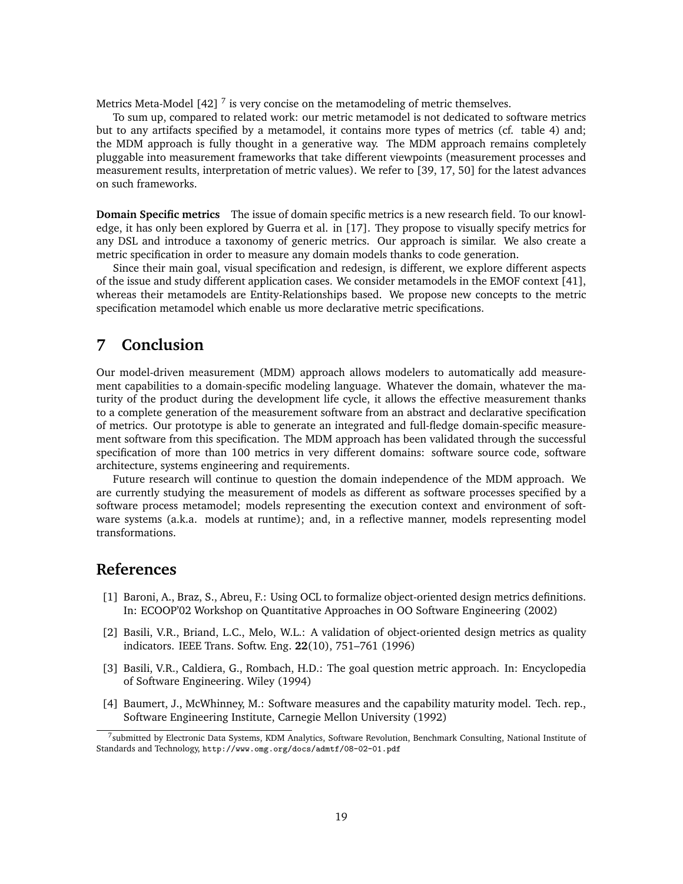Metrics Meta-Model [42]  $^7$  is very concise on the metamodeling of metric themselves.

To sum up, compared to related work: our metric metamodel is not dedicated to software metrics but to any artifacts specified by a metamodel, it contains more types of metrics (cf. table 4) and; the MDM approach is fully thought in a generative way. The MDM approach remains completely pluggable into measurement frameworks that take different viewpoints (measurement processes and measurement results, interpretation of metric values). We refer to [39, 17, 50] for the latest advances on such frameworks.

**Domain Specific metrics** The issue of domain specific metrics is a new research field. To our knowledge, it has only been explored by Guerra et al. in [17]. They propose to visually specify metrics for any DSL and introduce a taxonomy of generic metrics. Our approach is similar. We also create a metric specification in order to measure any domain models thanks to code generation.

Since their main goal, visual specification and redesign, is different, we explore different aspects of the issue and study different application cases. We consider metamodels in the EMOF context [41], whereas their metamodels are Entity-Relationships based. We propose new concepts to the metric specification metamodel which enable us more declarative metric specifications.

### **7 Conclusion**

Our model-driven measurement (MDM) approach allows modelers to automatically add measurement capabilities to a domain-specific modeling language. Whatever the domain, whatever the maturity of the product during the development life cycle, it allows the effective measurement thanks to a complete generation of the measurement software from an abstract and declarative specification of metrics. Our prototype is able to generate an integrated and full-fledge domain-specific measurement software from this specification. The MDM approach has been validated through the successful specification of more than 100 metrics in very different domains: software source code, software architecture, systems engineering and requirements.

Future research will continue to question the domain independence of the MDM approach. We are currently studying the measurement of models as different as software processes specified by a software process metamodel; models representing the execution context and environment of software systems (a.k.a. models at runtime); and, in a reflective manner, models representing model transformations.

### **References**

- [1] Baroni, A., Braz, S., Abreu, F.: Using OCL to formalize object-oriented design metrics definitions. In: ECOOP'02 Workshop on Quantitative Approaches in OO Software Engineering (2002)
- [2] Basili, V.R., Briand, L.C., Melo, W.L.: A validation of object-oriented design metrics as quality indicators. IEEE Trans. Softw. Eng. **22**(10), 751–761 (1996)
- [3] Basili, V.R., Caldiera, G., Rombach, H.D.: The goal question metric approach. In: Encyclopedia of Software Engineering. Wiley (1994)
- [4] Baumert, J., McWhinney, M.: Software measures and the capability maturity model. Tech. rep., Software Engineering Institute, Carnegie Mellon University (1992)

<sup>&</sup>lt;sup>7</sup>submitted by Electronic Data Systems, KDM Analytics, Software Revolution, Benchmark Consulting, National Institute of Standards and Technology, http://www.omg.org/docs/admtf/08-02-01.pdf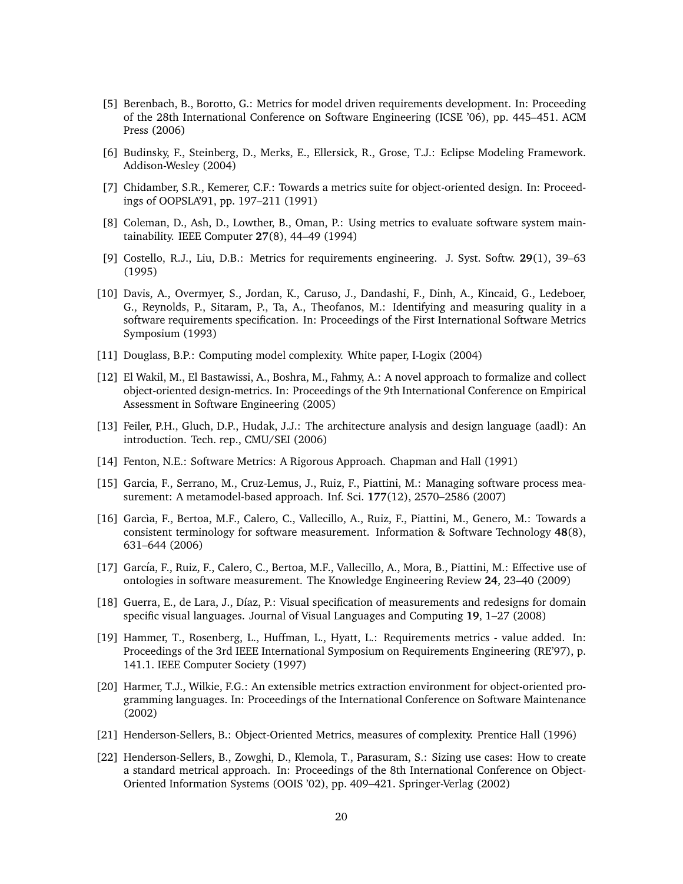- [5] Berenbach, B., Borotto, G.: Metrics for model driven requirements development. In: Proceeding of the 28th International Conference on Software Engineering (ICSE '06), pp. 445–451. ACM Press (2006)
- [6] Budinsky, F., Steinberg, D., Merks, E., Ellersick, R., Grose, T.J.: Eclipse Modeling Framework. Addison-Wesley (2004)
- [7] Chidamber, S.R., Kemerer, C.F.: Towards a metrics suite for object-oriented design. In: Proceedings of OOPSLA'91, pp. 197–211 (1991)
- [8] Coleman, D., Ash, D., Lowther, B., Oman, P.: Using metrics to evaluate software system maintainability. IEEE Computer **27**(8), 44–49 (1994)
- [9] Costello, R.J., Liu, D.B.: Metrics for requirements engineering. J. Syst. Softw. **29**(1), 39–63 (1995)
- [10] Davis, A., Overmyer, S., Jordan, K., Caruso, J., Dandashi, F., Dinh, A., Kincaid, G., Ledeboer, G., Reynolds, P., Sitaram, P., Ta, A., Theofanos, M.: Identifying and measuring quality in a software requirements specification. In: Proceedings of the First International Software Metrics Symposium (1993)
- [11] Douglass, B.P.: Computing model complexity. White paper, I-Logix (2004)
- [12] El Wakil, M., El Bastawissi, A., Boshra, M., Fahmy, A.: A novel approach to formalize and collect object-oriented design-metrics. In: Proceedings of the 9th International Conference on Empirical Assessment in Software Engineering (2005)
- [13] Feiler, P.H., Gluch, D.P., Hudak, J.J.: The architecture analysis and design language (aadl): An introduction. Tech. rep., CMU/SEI (2006)
- [14] Fenton, N.E.: Software Metrics: A Rigorous Approach. Chapman and Hall (1991)
- [15] Garcia, F., Serrano, M., Cruz-Lemus, J., Ruiz, F., Piattini, M.: Managing software process measurement: A metamodel-based approach. Inf. Sci. **177**(12), 2570–2586 (2007)
- [16] Garcìa, F., Bertoa, M.F., Calero, C., Vallecillo, A., Ruiz, F., Piattini, M., Genero, M.: Towards a consistent terminology for software measurement. Information & Software Technology **48**(8), 631–644 (2006)
- [17] García, F., Ruiz, F., Calero, C., Bertoa, M.F., Vallecillo, A., Mora, B., Piattini, M.: Effective use of ontologies in software measurement. The Knowledge Engineering Review **24**, 23–40 (2009)
- [18] Guerra, E., de Lara, J., Díaz, P.: Visual specification of measurements and redesigns for domain specific visual languages. Journal of Visual Languages and Computing **19**, 1–27 (2008)
- [19] Hammer, T., Rosenberg, L., Huffman, L., Hyatt, L.: Requirements metrics value added. In: Proceedings of the 3rd IEEE International Symposium on Requirements Engineering (RE'97), p. 141.1. IEEE Computer Society (1997)
- [20] Harmer, T.J., Wilkie, F.G.: An extensible metrics extraction environment for object-oriented programming languages. In: Proceedings of the International Conference on Software Maintenance (2002)
- [21] Henderson-Sellers, B.: Object-Oriented Metrics, measures of complexity. Prentice Hall (1996)
- [22] Henderson-Sellers, B., Zowghi, D., Klemola, T., Parasuram, S.: Sizing use cases: How to create a standard metrical approach. In: Proceedings of the 8th International Conference on Object-Oriented Information Systems (OOIS '02), pp. 409–421. Springer-Verlag (2002)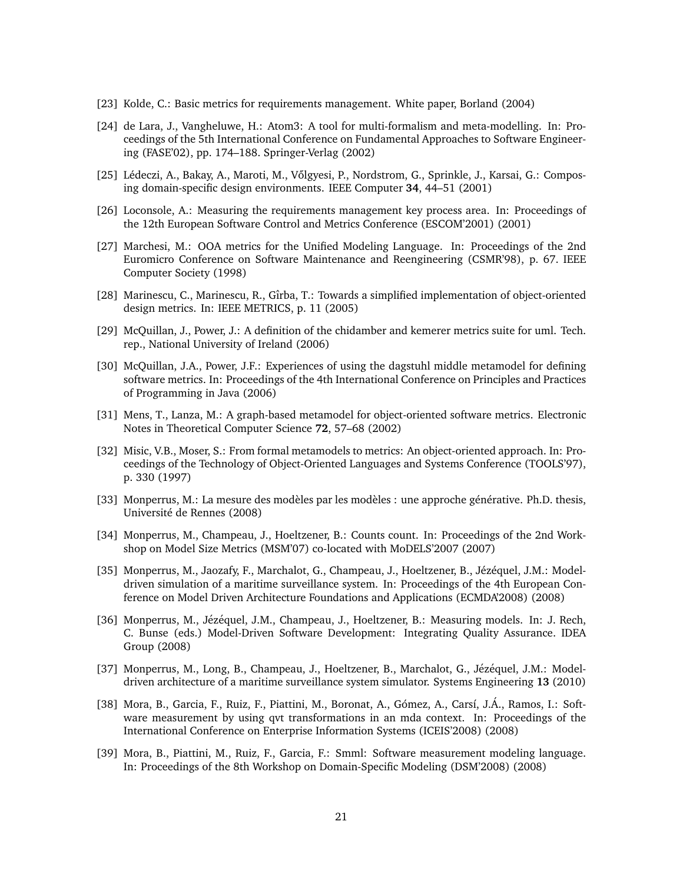- [23] Kolde, C.: Basic metrics for requirements management. White paper, Borland (2004)
- [24] de Lara, J., Vangheluwe, H.: Atom3: A tool for multi-formalism and meta-modelling. In: Proceedings of the 5th International Conference on Fundamental Approaches to Software Engineering (FASE'02), pp. 174–188. Springer-Verlag (2002)
- [25] Lédeczi, A., Bakay, A., Maroti, M., Vőlgyesi, P., Nordstrom, G., Sprinkle, J., Karsai, G.: Composing domain-specific design environments. IEEE Computer **34**, 44–51 (2001)
- [26] Loconsole, A.: Measuring the requirements management key process area. In: Proceedings of the 12th European Software Control and Metrics Conference (ESCOM'2001) (2001)
- [27] Marchesi, M.: OOA metrics for the Unified Modeling Language. In: Proceedings of the 2nd Euromicro Conference on Software Maintenance and Reengineering (CSMR'98), p. 67. IEEE Computer Society (1998)
- [28] Marinescu, C., Marinescu, R., Gˆırba, T.: Towards a simplified implementation of object-oriented design metrics. In: IEEE METRICS, p. 11 (2005)
- [29] McQuillan, J., Power, J.: A definition of the chidamber and kemerer metrics suite for uml. Tech. rep., National University of Ireland (2006)
- [30] McQuillan, J.A., Power, J.F.: Experiences of using the dagstuhl middle metamodel for defining software metrics. In: Proceedings of the 4th International Conference on Principles and Practices of Programming in Java (2006)
- [31] Mens, T., Lanza, M.: A graph-based metamodel for object-oriented software metrics. Electronic Notes in Theoretical Computer Science **72**, 57–68 (2002)
- [32] Misic, V.B., Moser, S.: From formal metamodels to metrics: An object-oriented approach. In: Proceedings of the Technology of Object-Oriented Languages and Systems Conference (TOOLS'97), p. 330 (1997)
- [33] Monperrus, M.: La mesure des modèles par les modèles : une approche générative. Ph.D. thesis, Université de Rennes (2008)
- [34] Monperrus, M., Champeau, J., Hoeltzener, B.: Counts count. In: Proceedings of the 2nd Workshop on Model Size Metrics (MSM'07) co-located with MoDELS'2007 (2007)
- [35] Monperrus, M., Jaozafy, F., Marchalot, G., Champeau, J., Hoeltzener, B., Jézéquel, J.M.: Modeldriven simulation of a maritime surveillance system. In: Proceedings of the 4th European Conference on Model Driven Architecture Foundations and Applications (ECMDA'2008) (2008)
- [36] Monperrus, M., Jézéquel, J.M., Champeau, J., Hoeltzener, B.: Measuring models. In: J. Rech, C. Bunse (eds.) Model-Driven Software Development: Integrating Quality Assurance. IDEA Group (2008)
- [37] Monperrus, M., Long, B., Champeau, J., Hoeltzener, B., Marchalot, G., Jézéquel, J.M.: Modeldriven architecture of a maritime surveillance system simulator. Systems Engineering **13** (2010)
- [38] Mora, B., Garcia, F., Ruiz, F., Piattini, M., Boronat, A., Gómez, A., Carsí, J.A., Ramos, I.: Software measurement by using qvt transformations in an mda context. In: Proceedings of the International Conference on Enterprise Information Systems (ICEIS'2008) (2008)
- [39] Mora, B., Piattini, M., Ruiz, F., Garcia, F.: Smml: Software measurement modeling language. In: Proceedings of the 8th Workshop on Domain-Specific Modeling (DSM'2008) (2008)